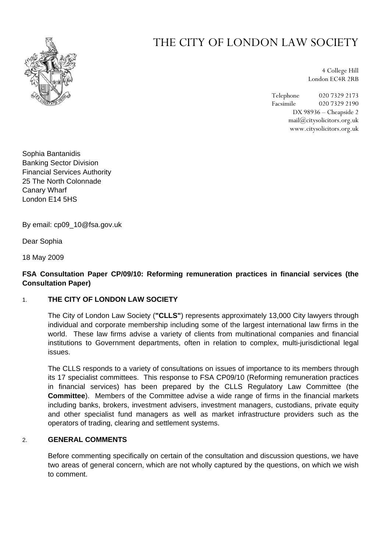

# THE CITY OF LONDON LAW SOCIETY

4 College Hill London EC4R 2RB

Telephone 020 7329 2173 Facsimile 020 7329 2190 DX 98936 – Cheapside 2 mail@citysolicitors.org.uk www.citysolicitors.org.uk

Sophia Bantanidis Banking Sector Division Financial Services Authority 25 The North Colonnade Canary Wharf London E14 5HS

By email: cp09\_10@fsa.gov.uk

Dear Sophia

18 May 2009

# **FSA Consultation Paper CP/09/10: Reforming remuneration practices in financial services (the Consultation Paper)**

### 1. **THE CITY OF LONDON LAW SOCIETY**

The City of London Law Society (**"CLLS"**) represents approximately 13,000 City lawyers through individual and corporate membership including some of the largest international law firms in the world. These law firms advise a variety of clients from multinational companies and financial institutions to Government departments, often in relation to complex, multi-jurisdictional legal issues.

The CLLS responds to a variety of consultations on issues of importance to its members through its 17 specialist committees. This response to FSA CP09/10 (Reforming remuneration practices in financial services) has been prepared by the CLLS Regulatory Law Committee (the **Committee**). Members of the Committee advise a wide range of firms in the financial markets including banks, brokers, investment advisers, investment managers, custodians, private equity and other specialist fund managers as well as market infrastructure providers such as the operators of trading, clearing and settlement systems.

### 2. **GENERAL COMMENTS**

Before commenting specifically on certain of the consultation and discussion questions, we have two areas of general concern, which are not wholly captured by the questions, on which we wish to comment.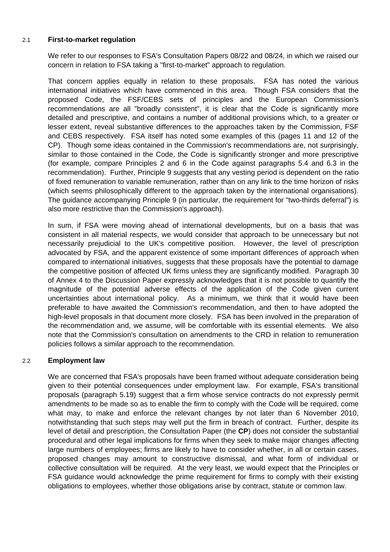#### 2.1 **First-to-market regulation**

We refer to our responses to FSA's Consultation Papers 08/22 and 08/24, in which we raised our concern in relation to FSA taking a "first-to-market" approach to regulation.

That concern applies equally in relation to these proposals. FSA has noted the various international initiatives which have commenced in this area. Though FSA considers that the proposed Code, the FSF/CEBS sets of principles and the European Commission's recommendations are all "broadly consistent", it is clear that the Code is significantly more detailed and prescriptive, and contains a number of additional provisions which, to a greater or lesser extent, reveal substantive differences to the approaches taken by the Commission, FSF and CEBS respectively. FSA itself has noted some examples of this (pages 11 and 12 of the CP). Though some ideas contained in the Commission's recommendations are, not surprisingly, similar to those contained in the Code, the Code is significantly stronger and more prescriptive (for example, compare Principles 2 and 6 in the Code against paragraphs 5.4 and 6.3 in the recommendation). Further, Principle 9 suggests that any vesting period is dependent on the ratio of fixed remuneration to variable remuneration, rather than on any link to the time horizon of risks (which seems philosophically different to the approach taken by the international organisations). The guidance accompanying Principle 9 (in particular, the requirement for "two-thirds deferral") is also more restrictive than the Commission's approach).

In sum, if FSA were moving ahead of international developments, but on a basis that was consistent in all material respects, we would consider that approach to be unnecessary but not necessarily prejudicial to the UK's competitive position. However, the level of prescription advocated by FSA, and the apparent existence of some important differences of approach when compared to international initiatives, suggests that these proposals have the potential to damage the competitive position of affected UK firms unless they are significantly modified. Paragraph 30 of Annex 4 to the Discussion Paper expressly acknowledges that it is not possible to quantify the magnitude of the potential adverse effects of the application of the Code given current uncertainties about international policy. As a minimum, we think that it would have been preferable to have awaited the Commission's recommendation, and then to have adopted the high-level proposals in that document more closely. FSA has been involved in the preparation of the recommendation and, we assume, will be comfortable with its essential elements. We also note that the Commission's consultation on amendments to the CRD in relation to remuneration policies follows a similar approach to the recommendation.

### 2.2 **Employment law**

We are concerned that FSA's proposals have been framed without adequate consideration being given to their potential consequences under employment law. For example, FSA's transitional proposals (paragraph 5.19) suggest that a firm whose service contracts do not expressly permit amendments to be made so as to enable the firm to comply with the Code will be required, come what may, to make and enforce the relevant changes by not later than 6 November 2010, notwithstanding that such steps may well put the firm in breach of contract. Further, despite its level of detail and prescription, the Consultation Paper (the **CP**) does not consider the substantial procedural and other legal implications for firms when they seek to make major changes affecting large numbers of employees; firms are likely to have to consider whether, in all or certain cases, proposed changes may amount to constructive dismissal, and what form of individual or collective consultation will be required. At the very least, we would expect that the Principles or FSA guidance would acknowledge the prime requirement for firms to comply with their existing obligations to employees, whether those obligations arise by contract, statute or common law.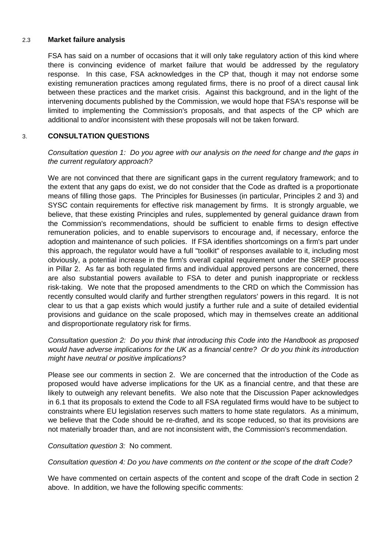### 2.3 **Market failure analysis**

FSA has said on a number of occasions that it will only take regulatory action of this kind where there is convincing evidence of market failure that would be addressed by the regulatory response. In this case, FSA acknowledges in the CP that, though it may not endorse some existing remuneration practices among regulated firms, there is no proof of a direct causal link between these practices and the market crisis. Against this background, and in the light of the intervening documents published by the Commission, we would hope that FSA's response will be limited to implementing the Commission's proposals, and that aspects of the CP which are additional to and/or inconsistent with these proposals will not be taken forward.

### 3. **CONSULTATION QUESTIONS**

*Consultation question 1: Do you agree with our analysis on the need for change and the gaps in the current regulatory approach?* 

We are not convinced that there are significant gaps in the current regulatory framework; and to the extent that any gaps do exist, we do not consider that the Code as drafted is a proportionate means of filling those gaps. The Principles for Businesses (in particular, Principles 2 and 3) and SYSC contain requirements for effective risk management by firms. It is strongly arguable, we believe, that these existing Principles and rules, supplemented by general guidance drawn from the Commission's recommendations, should be sufficient to enable firms to design effective remuneration policies, and to enable supervisors to encourage and, if necessary, enforce the adoption and maintenance of such policies. If FSA identifies shortcomings on a firm's part under this approach, the regulator would have a full "toolkit" of responses available to it, including most obviously, a potential increase in the firm's overall capital requirement under the SREP process in Pillar 2. As far as both regulated firms and individual approved persons are concerned, there are also substantial powers available to FSA to deter and punish inappropriate or reckless risk-taking. We note that the proposed amendments to the CRD on which the Commission has recently consulted would clarify and further strengthen regulators' powers in this regard. It is not clear to us that a gap exists which would justify a further rule and a suite of detailed evidential provisions and guidance on the scale proposed, which may in themselves create an additional and disproportionate regulatory risk for firms.

# *Consultation question 2: Do you think that introducing this Code into the Handbook as proposed would have adverse implications for the UK as a financial centre? Or do you think its introduction might have neutral or positive implications?*

Please see our comments in section 2. We are concerned that the introduction of the Code as proposed would have adverse implications for the UK as a financial centre, and that these are likely to outweigh any relevant benefits. We also note that the Discussion Paper acknowledges in 6.1 that its proposals to extend the Code to all FSA regulated firms would have to be subject to constraints where EU legislation reserves such matters to home state regulators. As a minimum, we believe that the Code should be re-drafted, and its scope reduced, so that its provisions are not materially broader than, and are not inconsistent with, the Commission's recommendation.

*Consultation question 3:* No comment.

*Consultation question 4: Do you have comments on the content or the scope of the draft Code?* 

We have commented on certain aspects of the content and scope of the draft Code in section 2 above. In addition, we have the following specific comments: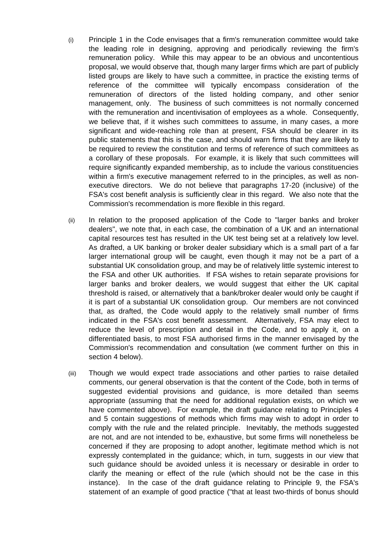- (i) Principle 1 in the Code envisages that a firm's remuneration committee would take the leading role in designing, approving and periodically reviewing the firm's remuneration policy. While this may appear to be an obvious and uncontentious proposal, we would observe that, though many larger firms which are part of publicly listed groups are likely to have such a committee, in practice the existing terms of reference of the committee will typically encompass consideration of the remuneration of directors of the listed holding company, and other senior management, only. The business of such committees is not normally concerned with the remuneration and incentivisation of employees as a whole. Consequently, we believe that, if it wishes such committees to assume, in many cases, a more significant and wide-reaching role than at present, FSA should be clearer in its public statements that this is the case, and should warn firms that they are likely to be required to review the constitution and terms of reference of such committees as a corollary of these proposals. For example, it is likely that such committees will require significantly expanded membership, as to include the various constituencies within a firm's executive management referred to in the principles, as well as nonexecutive directors. We do not believe that paragraphs 17-20 (inclusive) of the FSA's cost benefit analysis is sufficiently clear in this regard. We also note that the Commission's recommendation is more flexible in this regard.
- (ii) In relation to the proposed application of the Code to "larger banks and broker dealers", we note that, in each case, the combination of a UK and an international capital resources test has resulted in the UK test being set at a relatively low level. As drafted, a UK banking or broker dealer subsidiary which is a small part of a far larger international group will be caught, even though it may not be a part of a substantial UK consolidation group, and may be of relatively little systemic interest to the FSA and other UK authorities. If FSA wishes to retain separate provisions for larger banks and broker dealers, we would suggest that either the UK capital threshold is raised, or alternatively that a bank/broker dealer would only be caught if it is part of a substantial UK consolidation group. Our members are not convinced that, as drafted, the Code would apply to the relatively small number of firms indicated in the FSA's cost benefit assessment. Alternatively, FSA may elect to reduce the level of prescription and detail in the Code, and to apply it, on a differentiated basis, to most FSA authorised firms in the manner envisaged by the Commission's recommendation and consultation (we comment further on this in section 4 below).
- (iii) Though we would expect trade associations and other parties to raise detailed comments, our general observation is that the content of the Code, both in terms of suggested evidential provisions and guidance, is more detailed than seems appropriate (assuming that the need for additional regulation exists, on which we have commented above). For example, the draft guidance relating to Principles 4 and 5 contain suggestions of methods which firms may wish to adopt in order to comply with the rule and the related principle. Inevitably, the methods suggested are not, and are not intended to be, exhaustive, but some firms will nonetheless be concerned if they are proposing to adopt another, legitimate method which is not expressly contemplated in the guidance; which, in turn, suggests in our view that such guidance should be avoided unless it is necessary or desirable in order to clarify the meaning or effect of the rule (which should not be the case in this instance). In the case of the draft guidance relating to Principle 9, the FSA's statement of an example of good practice ("that at least two-thirds of bonus should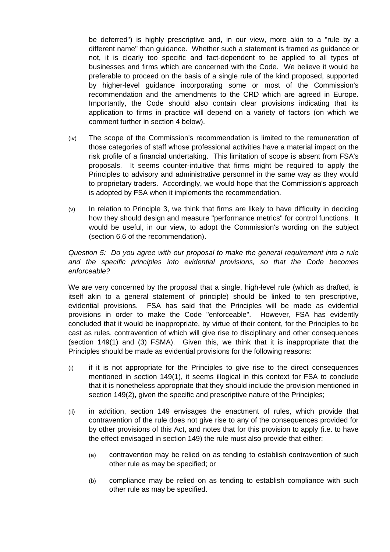be deferred") is highly prescriptive and, in our view, more akin to a "rule by a different name" than guidance. Whether such a statement is framed as guidance or not, it is clearly too specific and fact-dependent to be applied to all types of businesses and firms which are concerned with the Code. We believe it would be preferable to proceed on the basis of a single rule of the kind proposed, supported by higher-level guidance incorporating some or most of the Commission's recommendation and the amendments to the CRD which are agreed in Europe. Importantly, the Code should also contain clear provisions indicating that its application to firms in practice will depend on a variety of factors (on which we comment further in section 4 below).

- (iv) The scope of the Commission's recommendation is limited to the remuneration of those categories of staff whose professional activities have a material impact on the risk profile of a financial undertaking. This limitation of scope is absent from FSA's proposals. It seems counter-intuitive that firms might be required to apply the Principles to advisory and administrative personnel in the same way as they would to proprietary traders. Accordingly, we would hope that the Commission's approach is adopted by FSA when it implements the recommendation.
- $(v)$  In relation to Principle 3, we think that firms are likely to have difficulty in deciding how they should design and measure "performance metrics" for control functions. It would be useful, in our view, to adopt the Commission's wording on the subject (section 6.6 of the recommendation).

*Question 5: Do you agree with our proposal to make the general requirement into a rule and the specific principles into evidential provisions, so that the Code becomes enforceable?* 

We are very concerned by the proposal that a single, high-level rule (which as drafted, is itself akin to a general statement of principle) should be linked to ten prescriptive, evidential provisions. FSA has said that the Principles will be made as evidential provisions in order to make the Code "enforceable". However, FSA has evidently concluded that it would be inappropriate, by virtue of their content, for the Principles to be cast as rules, contravention of which will give rise to disciplinary and other consequences (section 149(1) and (3) FSMA). Given this, we think that it is inappropriate that the Principles should be made as evidential provisions for the following reasons:

- (i) if it is not appropriate for the Principles to give rise to the direct consequences mentioned in section 149(1), it seems illogical in this context for FSA to conclude that it is nonetheless appropriate that they should include the provision mentioned in section 149(2), given the specific and prescriptive nature of the Principles;
- (ii) in addition, section 149 envisages the enactment of rules, which provide that contravention of the rule does not give rise to any of the consequences provided for by other provisions of this Act, and notes that for this provision to apply (i.e. to have the effect envisaged in section 149) the rule must also provide that either:
	- (a) contravention may be relied on as tending to establish contravention of such other rule as may be specified; or
	- (b) compliance may be relied on as tending to establish compliance with such other rule as may be specified.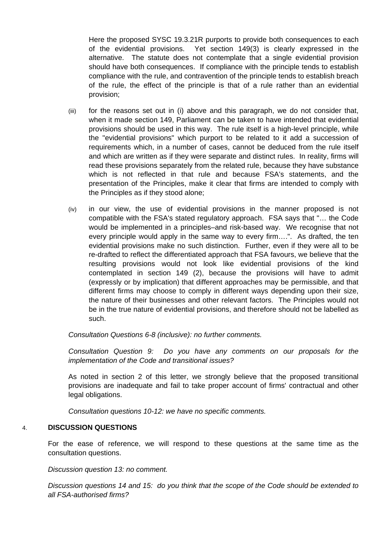Here the proposed SYSC 19.3.21R purports to provide both consequences to each of the evidential provisions. Yet section 149(3) is clearly expressed in the alternative. The statute does not contemplate that a single evidential provision should have both consequences. If compliance with the principle tends to establish compliance with the rule, and contravention of the principle tends to establish breach of the rule, the effect of the principle is that of a rule rather than an evidential provision;

- (iii) for the reasons set out in (i) above and this paragraph, we do not consider that, when it made section 149, Parliament can be taken to have intended that evidential provisions should be used in this way. The rule itself is a high-level principle, while the "evidential provisions" which purport to be related to it add a succession of requirements which, in a number of cases, cannot be deduced from the rule itself and which are written as if they were separate and distinct rules. In reality, firms will read these provisions separately from the related rule, because they have substance which is not reflected in that rule and because FSA's statements, and the presentation of the Principles, make it clear that firms are intended to comply with the Principles as if they stood alone;
- (iv) in our view, the use of evidential provisions in the manner proposed is not compatible with the FSA's stated regulatory approach. FSA says that "… the Code would be implemented in a principles–and risk-based way. We recognise that not every principle would apply in the same way to every firm….". As drafted, the ten evidential provisions make no such distinction. Further, even if they were all to be re-drafted to reflect the differentiated approach that FSA favours, we believe that the resulting provisions would not look like evidential provisions of the kind contemplated in section 149 (2), because the provisions will have to admit (expressly or by implication) that different approaches may be permissible, and that different firms may choose to comply in different ways depending upon their size, the nature of their businesses and other relevant factors. The Principles would not be in the true nature of evidential provisions, and therefore should not be labelled as such.

*Consultation Questions 6-8 (inclusive): no further comments.* 

*Consultation Question 9: Do you have any comments on our proposals for the implementation of the Code and transitional issues?* 

As noted in section 2 of this letter, we strongly believe that the proposed transitional provisions are inadequate and fail to take proper account of firms' contractual and other legal obligations.

*Consultation questions 10-12: we have no specific comments.* 

### 4. **DISCUSSION QUESTIONS**

For the ease of reference, we will respond to these questions at the same time as the consultation questions.

*Discussion question 13: no comment.* 

*Discussion questions 14 and 15: do you think that the scope of the Code should be extended to all FSA-authorised firms?*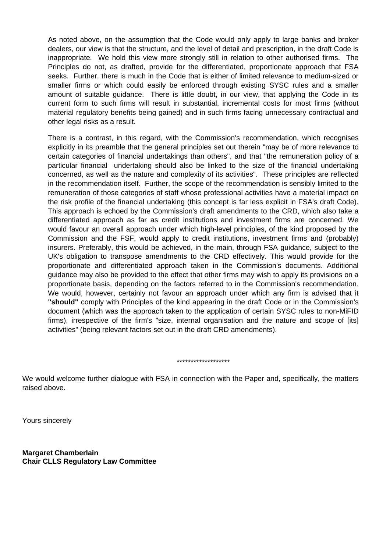As noted above, on the assumption that the Code would only apply to large banks and broker dealers, our view is that the structure, and the level of detail and prescription, in the draft Code is inappropriate. We hold this view more strongly still in relation to other authorised firms. The Principles do not, as drafted, provide for the differentiated, proportionate approach that FSA seeks. Further, there is much in the Code that is either of limited relevance to medium-sized or smaller firms or which could easily be enforced through existing SYSC rules and a smaller amount of suitable guidance. There is little doubt, in our view, that applying the Code in its current form to such firms will result in substantial, incremental costs for most firms (without material regulatory benefits being gained) and in such firms facing unnecessary contractual and other legal risks as a result.

There is a contrast, in this regard, with the Commission's recommendation, which recognises explicitly in its preamble that the general principles set out therein "may be of more relevance to certain categories of financial undertakings than others", and that "the remuneration policy of a particular financial undertaking should also be linked to the size of the financial undertaking concerned, as well as the nature and complexity of its activities". These principles are reflected in the recommendation itself. Further, the scope of the recommendation is sensibly limited to the remuneration of those categories of staff whose professional activities have a material impact on the risk profile of the financial undertaking (this concept is far less explicit in FSA's draft Code). This approach is echoed by the Commission's draft amendments to the CRD, which also take a differentiated approach as far as credit institutions and investment firms are concerned. We would favour an overall approach under which high-level principles, of the kind proposed by the Commission and the FSF, would apply to credit institutions, investment firms and (probably) insurers. Preferably, this would be achieved, in the main, through FSA guidance, subject to the UK's obligation to transpose amendments to the CRD effectively. This would provide for the proportionate and differentiated approach taken in the Commission's documents. Additional guidance may also be provided to the effect that other firms may wish to apply its provisions on a proportionate basis, depending on the factors referred to in the Commission's recommendation. We would, however, certainly not favour an approach under which any firm is advised that it **"should"** comply with Principles of the kind appearing in the draft Code or in the Commission's document (which was the approach taken to the application of certain SYSC rules to non-MiFID firms), irrespective of the firm's "size, internal organisation and the nature and scope of [its] activities" (being relevant factors set out in the draft CRD amendments).

#### \*\*\*\*\*\*\*\*\*\*\*\*\*\*\*\*\*\*\*

We would welcome further dialogue with FSA in connection with the Paper and, specifically, the matters raised above.

Yours sincerely

**Margaret Chamberlain Chair CLLS Regulatory Law Committee**